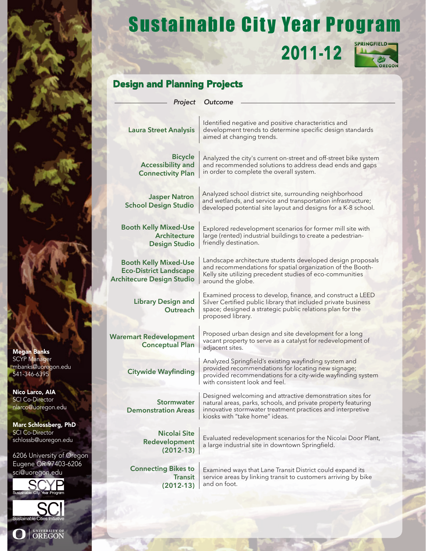## Sustainable City Year Program

**2011-12** 



### Design and Planning Projects

| Project                                                                                           | Outcome                                                                                                                                                                                                                    |
|---------------------------------------------------------------------------------------------------|----------------------------------------------------------------------------------------------------------------------------------------------------------------------------------------------------------------------------|
| <b>Laura Street Analysis</b>                                                                      | Identified negative and positive characteristics and<br>development trends to determine specific design standards<br>aimed at changing trends.                                                                             |
| <b>Bicycle</b><br><b>Accessibility and</b><br><b>Connectivity Plan</b>                            | Analyzed the city's current on-street and off-street bike system<br>and recommended solutions to address dead ends and gaps<br>in order to complete the overall system.                                                    |
| <b>Jasper Natron</b><br><b>School Design Studio</b>                                               | Analyzed school district site, surrounding neighborhood<br>and wetlands, and service and transportation infrastructure;<br>developed potential site layout and designs for a K-8 school.                                   |
| <b>Booth Kelly Mixed-Use</b><br><b>Architecture</b><br><b>Design Studio</b>                       | Explored redevelopment scenarios for former mill site with<br>large (rented) industrial buildings to create a pedestrian-<br>friendly destination.                                                                         |
| <b>Booth Kelly Mixed-Use</b><br><b>Eco-District Landscape</b><br><b>Architecure Design Studio</b> | Landscape architecture students developed design proposals<br>and recommendations for spatial organization of the Booth-<br>Kelly site utilizing precedent studies of eco-communities<br>around the globe.                 |
| <b>Library Design and</b><br>Outreach                                                             | Examined process to develop, finance, and construct a LEED<br>Silver Certified public library that included private business<br>space; designed a strategic public relations plan for the<br>proposed library.             |
| <b>Waremart Redevelopment</b><br><b>Conceptual Plan</b>                                           | Proposed urban design and site development for a long<br>vacant property to serve as a catalyst for redevelopment of<br>adjacent sites.                                                                                    |
| <b>Citywide Wayfinding</b>                                                                        | Analyzed Springfield's existing wayfinding system and<br>provided recommendations for locating new signage;<br>provided recommendations for a city-wide wayfinding system<br>with consistent look and feel.                |
| <b>Stormwater</b><br><b>Demonstration Areas</b>                                                   | Designed welcoming and attractive demonstration sites for<br>natural areas, parks, schools, and private property featuring<br>innovative stormwater treatment practices and interpretive<br>kiosks with "take home" ideas. |
| <b>Nicolai Site</b><br>Redevelopment<br>$(2012-13)$                                               | Evaluated redevelopment scenarios for the Nicolai Door Plant,<br>a large industrial site in downtown Springfield.                                                                                                          |
| <b>Connecting Bikes to</b><br><b>Transit</b><br>$(2012-13)$                                       | Examined ways that Lane Transit District could expand its<br>service areas by linking transit to customers arriving by bike<br>and on foot.                                                                                |
|                                                                                                   |                                                                                                                                                                                                                            |

Megan Banks SCYP Manager mbanks@uoregon.edu 541-346-6395

Nico Larco, AIA SCI Co-Director nlarco@uoregon.edu

Marc Schlossberg, PhD SCI Co-Director schlossb@uoregon.edu

6206 University of Oregon Eugene OR 97403-6206 sci@uoregon.edu